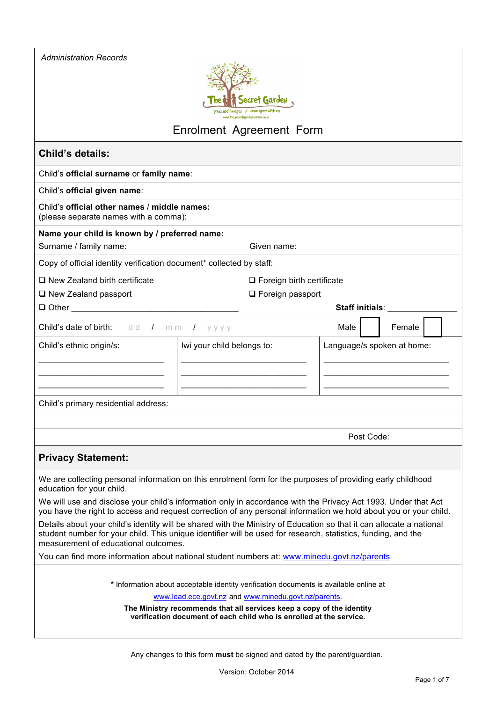| <b>Administration Records</b>                                                                                                                                                                                                                                                 |                                                                                                                                                                                                                                    |                            |            |        |  |  |  |  |
|-------------------------------------------------------------------------------------------------------------------------------------------------------------------------------------------------------------------------------------------------------------------------------|------------------------------------------------------------------------------------------------------------------------------------------------------------------------------------------------------------------------------------|----------------------------|------------|--------|--|--|--|--|
|                                                                                                                                                                                                                                                                               |                                                                                                                                                                                                                                    |                            |            |        |  |  |  |  |
| Secret Gardey                                                                                                                                                                                                                                                                 |                                                                                                                                                                                                                                    |                            |            |        |  |  |  |  |
| ww.thesecretaardevhuabai.co.vi                                                                                                                                                                                                                                                |                                                                                                                                                                                                                                    |                            |            |        |  |  |  |  |
|                                                                                                                                                                                                                                                                               | Enrolment Agreement Form                                                                                                                                                                                                           |                            |            |        |  |  |  |  |
| <b>Child's details:</b>                                                                                                                                                                                                                                                       |                                                                                                                                                                                                                                    |                            |            |        |  |  |  |  |
| Child's official surname or family name:                                                                                                                                                                                                                                      |                                                                                                                                                                                                                                    |                            |            |        |  |  |  |  |
| Child's official given name:                                                                                                                                                                                                                                                  |                                                                                                                                                                                                                                    |                            |            |        |  |  |  |  |
| Child's official other names / middle names:<br>(please separate names with a comma):                                                                                                                                                                                         |                                                                                                                                                                                                                                    |                            |            |        |  |  |  |  |
| Name your child is known by / preferred name:                                                                                                                                                                                                                                 |                                                                                                                                                                                                                                    |                            |            |        |  |  |  |  |
| Surname / family name:                                                                                                                                                                                                                                                        | Given name:                                                                                                                                                                                                                        |                            |            |        |  |  |  |  |
| Copy of official identity verification document* collected by staff:                                                                                                                                                                                                          |                                                                                                                                                                                                                                    |                            |            |        |  |  |  |  |
| $\square$ New Zealand birth certificate                                                                                                                                                                                                                                       | $\Box$ Foreign birth certificate                                                                                                                                                                                                   |                            |            |        |  |  |  |  |
| □ New Zealand passport                                                                                                                                                                                                                                                        | $\Box$ Foreign passport                                                                                                                                                                                                            |                            |            |        |  |  |  |  |
| $\Box$ Other                                                                                                                                                                                                                                                                  |                                                                                                                                                                                                                                    | <b>Staff initials:</b>     |            |        |  |  |  |  |
| Child's date of birth: dd / mm /                                                                                                                                                                                                                                              | уууу                                                                                                                                                                                                                               | Male                       |            | Female |  |  |  |  |
| Child's ethnic origin/s:                                                                                                                                                                                                                                                      | Iwi your child belongs to:                                                                                                                                                                                                         | Language/s spoken at home: |            |        |  |  |  |  |
|                                                                                                                                                                                                                                                                               |                                                                                                                                                                                                                                    |                            |            |        |  |  |  |  |
|                                                                                                                                                                                                                                                                               |                                                                                                                                                                                                                                    |                            |            |        |  |  |  |  |
|                                                                                                                                                                                                                                                                               |                                                                                                                                                                                                                                    |                            |            |        |  |  |  |  |
| Child's primary residential address:                                                                                                                                                                                                                                          |                                                                                                                                                                                                                                    |                            |            |        |  |  |  |  |
|                                                                                                                                                                                                                                                                               |                                                                                                                                                                                                                                    |                            |            |        |  |  |  |  |
|                                                                                                                                                                                                                                                                               |                                                                                                                                                                                                                                    |                            | Post Code: |        |  |  |  |  |
| <b>Privacy Statement:</b>                                                                                                                                                                                                                                                     |                                                                                                                                                                                                                                    |                            |            |        |  |  |  |  |
| education for your child.                                                                                                                                                                                                                                                     | We are collecting personal information on this enrolment form for the purposes of providing early childhood                                                                                                                        |                            |            |        |  |  |  |  |
|                                                                                                                                                                                                                                                                               | We will use and disclose your child's information only in accordance with the Privacy Act 1993. Under that Act<br>you have the right to access and request correction of any personal information we hold about you or your child. |                            |            |        |  |  |  |  |
| Details about your child's identity will be shared with the Ministry of Education so that it can allocate a national<br>student number for your child. This unique identifier will be used for research, statistics, funding, and the<br>measurement of educational outcomes. |                                                                                                                                                                                                                                    |                            |            |        |  |  |  |  |
|                                                                                                                                                                                                                                                                               | You can find more information about national student numbers at: www.minedu.govt.nz/parents                                                                                                                                        |                            |            |        |  |  |  |  |
|                                                                                                                                                                                                                                                                               | * Information about acceptable identity verification documents is available online at                                                                                                                                              |                            |            |        |  |  |  |  |
|                                                                                                                                                                                                                                                                               | www.lead.ece.govt.nz and www.minedu.govt.nz/parents.                                                                                                                                                                               |                            |            |        |  |  |  |  |
|                                                                                                                                                                                                                                                                               | The Ministry recommends that all services keep a copy of the identity<br>verification document of each child who is enrolled at the service.                                                                                       |                            |            |        |  |  |  |  |
|                                                                                                                                                                                                                                                                               |                                                                                                                                                                                                                                    |                            |            |        |  |  |  |  |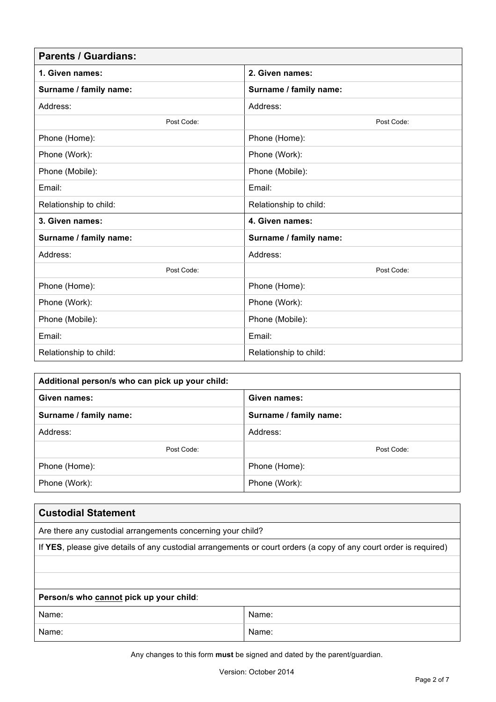| <b>Parents / Guardians:</b> |                        |  |  |  |
|-----------------------------|------------------------|--|--|--|
| 1. Given names:             | 2. Given names:        |  |  |  |
| Surname / family name:      | Surname / family name: |  |  |  |
| Address:                    | Address:               |  |  |  |
| Post Code:                  | Post Code:             |  |  |  |
| Phone (Home):               | Phone (Home):          |  |  |  |
| Phone (Work):               | Phone (Work):          |  |  |  |
| Phone (Mobile):             | Phone (Mobile):        |  |  |  |
| Email:                      | Email:                 |  |  |  |
| Relationship to child:      | Relationship to child: |  |  |  |
| 3. Given names:             | 4. Given names:        |  |  |  |
| Surname / family name:      | Surname / family name: |  |  |  |
| Address:                    | Address:               |  |  |  |
| Post Code:                  | Post Code:             |  |  |  |
| Phone (Home):               | Phone (Home):          |  |  |  |
| Phone (Work):               | Phone (Work):          |  |  |  |
| Phone (Mobile):             | Phone (Mobile):        |  |  |  |
| Email:                      | Email:                 |  |  |  |
| Relationship to child:      | Relationship to child: |  |  |  |

| Additional person/s who can pick up your child: |                        |  |  |  |
|-------------------------------------------------|------------------------|--|--|--|
| Given names:<br>Given names:                    |                        |  |  |  |
| Surname / family name:                          | Surname / family name: |  |  |  |
| Address:                                        | Address:               |  |  |  |
| Post Code:                                      | Post Code:             |  |  |  |
| Phone (Home):                                   | Phone (Home):          |  |  |  |
| Phone (Work):                                   | Phone (Work):          |  |  |  |

| <b>Custodial Statement</b>                                                                                        |       |  |  |  |  |  |
|-------------------------------------------------------------------------------------------------------------------|-------|--|--|--|--|--|
| Are there any custodial arrangements concerning your child?                                                       |       |  |  |  |  |  |
| If YES, please give details of any custodial arrangements or court orders (a copy of any court order is required) |       |  |  |  |  |  |
|                                                                                                                   |       |  |  |  |  |  |
|                                                                                                                   |       |  |  |  |  |  |
| Person/s who cannot pick up your child:                                                                           |       |  |  |  |  |  |
| Name:                                                                                                             | Name: |  |  |  |  |  |
| Name:                                                                                                             | Name: |  |  |  |  |  |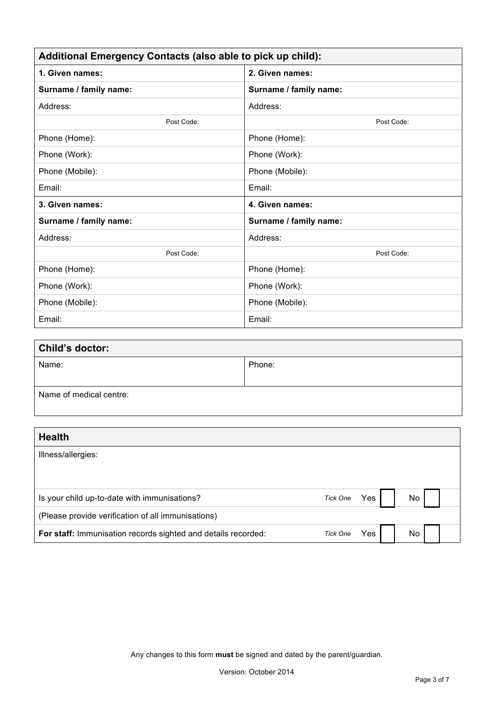| Additional Emergency Contacts (also able to pick up child): |                        |  |  |
|-------------------------------------------------------------|------------------------|--|--|
| 1. Given names:                                             | 2. Given names:        |  |  |
| Surname / family name:                                      | Surname / family name: |  |  |
| Address:                                                    | Address:               |  |  |
| Post Code:                                                  | Post Code:             |  |  |
| Phone (Home):                                               | Phone (Home):          |  |  |
| Phone (Work):                                               | Phone (Work):          |  |  |
| Phone (Mobile):                                             | Phone (Mobile):        |  |  |
| Email:                                                      | Email:                 |  |  |
| 3. Given names:                                             | 4. Given names:        |  |  |
| Surname / family name:                                      | Surname / family name: |  |  |
| Address:                                                    | Address:               |  |  |
| Post Code:                                                  | Post Code:             |  |  |
| Phone (Home):                                               | Phone (Home):          |  |  |
| Phone (Work):                                               | Phone (Work):          |  |  |
| Phone (Mobile):                                             | Phone (Mobile):        |  |  |
| Email:                                                      | Email:                 |  |  |

| <b>Child's doctor:</b>  |        |  |  |
|-------------------------|--------|--|--|
| Name:                   | Phone: |  |  |
|                         |        |  |  |
| Name of medical centre: |        |  |  |
|                         |        |  |  |

| <b>Health</b>                                                 |                 |      |    |  |
|---------------------------------------------------------------|-----------------|------|----|--|
| Illness/allergies:                                            |                 |      |    |  |
|                                                               |                 |      |    |  |
| Is your child up-to-date with immunisations?                  | Tick One        | Yes  | No |  |
| (Please provide verification of all immunisations)            |                 |      |    |  |
| For staff: Immunisation records sighted and details recorded: | <b>Tick One</b> | Yes. | No |  |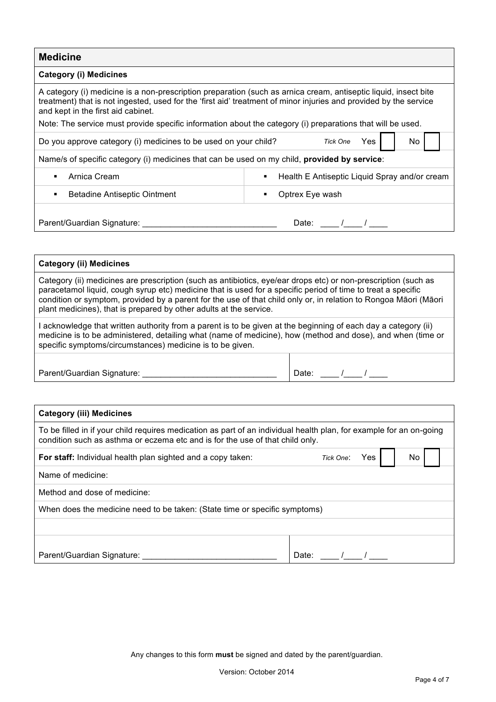| <b>Medicine</b>                                                                                                                                                                                                                                                            |                                               |  |  |  |  |
|----------------------------------------------------------------------------------------------------------------------------------------------------------------------------------------------------------------------------------------------------------------------------|-----------------------------------------------|--|--|--|--|
| <b>Category (i) Medicines</b>                                                                                                                                                                                                                                              |                                               |  |  |  |  |
| A category (i) medicine is a non-prescription preparation (such as arnica cream, antiseptic liquid, insect bite<br>treatment) that is not ingested, used for the 'first aid' treatment of minor injuries and provided by the service<br>and kept in the first aid cabinet. |                                               |  |  |  |  |
| Note: The service must provide specific information about the category (i) preparations that will be used.                                                                                                                                                                 |                                               |  |  |  |  |
| Tick One<br>Yes<br>No.<br>Do you approve category (i) medicines to be used on your child?                                                                                                                                                                                  |                                               |  |  |  |  |
| Name/s of specific category (i) medicines that can be used on my child, <b>provided by service</b> :                                                                                                                                                                       |                                               |  |  |  |  |
| Arnica Cream                                                                                                                                                                                                                                                               | Health E Antiseptic Liquid Spray and/or cream |  |  |  |  |
| Betadine Antiseptic Ointment<br>٠                                                                                                                                                                                                                                          | Optrex Eye wash                               |  |  |  |  |
| Parent/Guardian Signature:                                                                                                                                                                                                                                                 | Date:                                         |  |  |  |  |

# **Category (ii) Medicines** Category (ii) medicines are prescription (such as antibiotics, eye/ear drops etc) or non-prescription (such as paracetamol liquid, cough syrup etc) medicine that is used for a specific period of time to treat a specific condition or symptom, provided by a parent for the use of that child only or, in relation to Rongoa Māori (Māori plant medicines), that is prepared by other adults at the service. I acknowledge that written authority from a parent is to be given at the beginning of each day a category (ii) medicine is to be administered, detailing what (name of medicine), how (method and dose), and when (time or specific symptoms/circumstances) medicine is to be given. Parent/Guardian Signature: \_\_\_\_\_\_\_\_\_\_\_\_\_\_\_\_\_\_\_\_\_\_\_\_\_\_\_\_\_ Date: \_\_\_\_ /\_\_\_\_ / \_\_\_\_

| <b>Category (iii) Medicines</b>                                                                                                                                                                      |                         |
|------------------------------------------------------------------------------------------------------------------------------------------------------------------------------------------------------|-------------------------|
| To be filled in if your child requires medication as part of an individual health plan, for example for an on-going<br>condition such as asthma or eczema etc and is for the use of that child only. |                         |
| <b>For staff:</b> Individual health plan sighted and a copy taken:                                                                                                                                   | Yes<br>No.<br>Tick One: |
| Name of medicine:                                                                                                                                                                                    |                         |
| Method and dose of medicine:                                                                                                                                                                         |                         |
| When does the medicine need to be taken: (State time or specific symptoms)                                                                                                                           |                         |
|                                                                                                                                                                                                      |                         |
|                                                                                                                                                                                                      |                         |
| Parent/Guardian Signature:                                                                                                                                                                           |                         |
|                                                                                                                                                                                                      | Date:                   |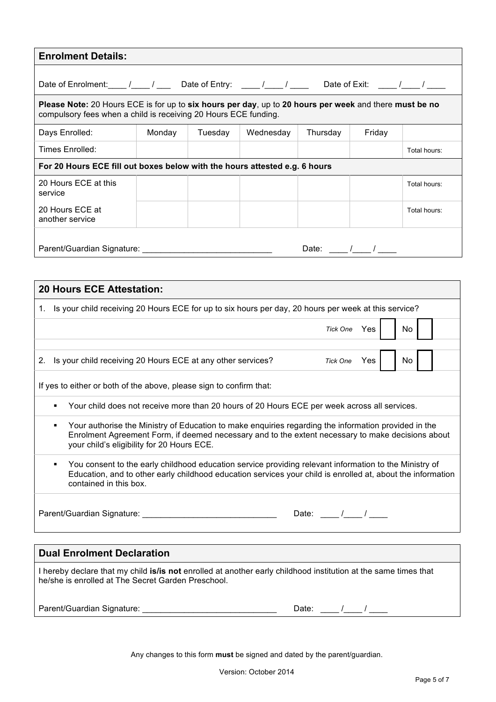| <b>Enrolment Details:</b>                                                                                                                                                                                                                                                                                                                                                                              |        |         |           |          |        |              |
|--------------------------------------------------------------------------------------------------------------------------------------------------------------------------------------------------------------------------------------------------------------------------------------------------------------------------------------------------------------------------------------------------------|--------|---------|-----------|----------|--------|--------------|
| Date of Enrolment: $\frac{1}{1-\frac{1}{1-\frac{1}{1-\frac{1}{1-\frac{1}{1-\frac{1}{1-\frac{1}{1-\frac{1}{1-\frac{1}{1-\frac{1}{1-\frac{1}{1-\frac{1}{1-\frac{1}{1-\frac{1}{1-\frac{1}{1-\frac{1}{1-\frac{1}{1-\frac{1}{1-\frac{1}{1-\frac{1}{1-\frac{1}{1-\frac{1}{1-\frac{1}{1-\frac{1}{1-\frac{1}{1-\frac{1}{1-\frac{1}{1-\frac{1}{1-\frac{1}{1-\frac{1}{1-\frac{1}{1-\frac{1}{1-\frac{1}{1-\frac{$ |        |         |           |          |        |              |
| Please Note: 20 Hours ECE is for up to six hours per day, up to 20 hours per week and there must be no<br>compulsory fees when a child is receiving 20 Hours ECE funding.                                                                                                                                                                                                                              |        |         |           |          |        |              |
| Days Enrolled:                                                                                                                                                                                                                                                                                                                                                                                         | Monday | Tuesday | Wednesday | Thursday | Friday |              |
| Times Enrolled:                                                                                                                                                                                                                                                                                                                                                                                        |        |         |           |          |        | Total hours: |
| For 20 Hours ECE fill out boxes below with the hours attested e.g. 6 hours                                                                                                                                                                                                                                                                                                                             |        |         |           |          |        |              |
| 20 Hours ECE at this<br>service                                                                                                                                                                                                                                                                                                                                                                        |        |         |           |          |        | Total hours: |
| 20 Hours ECE at<br>another service                                                                                                                                                                                                                                                                                                                                                                     |        |         |           |          |        | Total hours: |
| Parent/Guardian Signature:<br>Date: $\sqrt{ }$                                                                                                                                                                                                                                                                                                                                                         |        |         |           |          |        |              |

| <b>20 Hours ECE Attestation:</b>                                                                                                                                                                                                                             |
|--------------------------------------------------------------------------------------------------------------------------------------------------------------------------------------------------------------------------------------------------------------|
| 1. Is your child receiving 20 Hours ECE for up to six hours per day, 20 hours per week at this service?                                                                                                                                                      |
| No<br>Tick One Yes                                                                                                                                                                                                                                           |
| Is your child receiving 20 Hours ECE at any other services?<br>No<br><b>Yes</b><br>2.<br><b>Tick One</b>                                                                                                                                                     |
| If yes to either or both of the above, please sign to confirm that:                                                                                                                                                                                          |
| Your child does not receive more than 20 hours of 20 Hours ECE per week across all services.<br>٠                                                                                                                                                            |
| Your authorise the Ministry of Education to make enquiries regarding the information provided in the<br>٠<br>Enrolment Agreement Form, if deemed necessary and to the extent necessary to make decisions about<br>your child's eligibility for 20 Hours ECE. |
| You consent to the early childhood education service providing relevant information to the Ministry of<br>٠<br>Education, and to other early childhood education services your child is enrolled at, about the information<br>contained in this box.         |
| Parent/Guardian Signature: _________<br>Date: $/$ /                                                                                                                                                                                                          |
|                                                                                                                                                                                                                                                              |
| <b>Dual Enrolment Declaration</b>                                                                                                                                                                                                                            |
|                                                                                                                                                                                                                                                              |

I hereby declare that my child **is/is not** enrolled at another early childhood institution at the same times that he/she is enrolled at The Secret Garden Preschool.

| Parent/Guardian Signature: |  |  |  |  |  |  |  |
|----------------------------|--|--|--|--|--|--|--|
|----------------------------|--|--|--|--|--|--|--|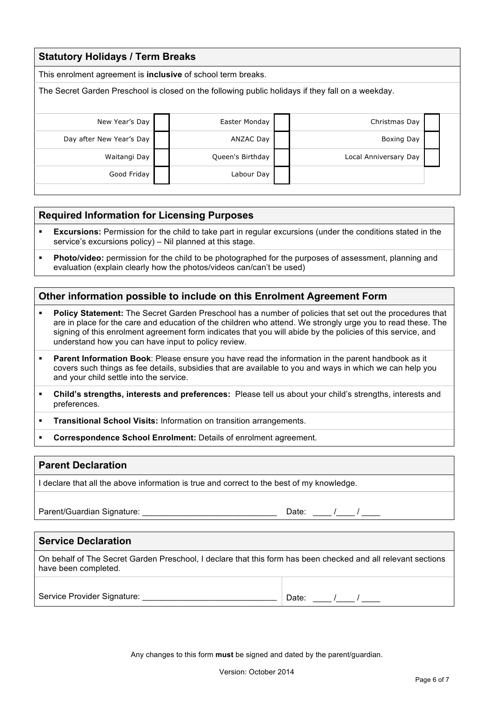| <b>Statutory Holidays / Term Breaks</b>                                                           |                  |                       |  |  |  |  |  |  |
|---------------------------------------------------------------------------------------------------|------------------|-----------------------|--|--|--|--|--|--|
| This enrolment agreement is <b>inclusive</b> of school term breaks.                               |                  |                       |  |  |  |  |  |  |
| The Secret Garden Preschool is closed on the following public holidays if they fall on a weekday. |                  |                       |  |  |  |  |  |  |
|                                                                                                   |                  |                       |  |  |  |  |  |  |
| New Year's Day                                                                                    | Easter Monday    | Christmas Day         |  |  |  |  |  |  |
| Day after New Year's Day                                                                          | <b>ANZAC Day</b> | <b>Boxing Day</b>     |  |  |  |  |  |  |
| Waitangi Day                                                                                      | Queen's Birthday | Local Anniversary Day |  |  |  |  |  |  |
| Good Friday                                                                                       | Labour Day       |                       |  |  |  |  |  |  |
|                                                                                                   |                  |                       |  |  |  |  |  |  |

### **Required Information for Licensing Purposes**

- **Excursions:** Permission for the child to take part in regular excursions (under the conditions stated in the service's excursions policy) – Nil planned at this stage.
- § **Photo/video:** permission for the child to be photographed for the purposes of assessment, planning and evaluation (explain clearly how the photos/videos can/can't be used)

### **Other information possible to include on this Enrolment Agreement Form**

- § **Policy Statement:** The Secret Garden Preschool has a number of policies that set out the procedures that are in place for the care and education of the children who attend. We strongly urge you to read these. The signing of this enrolment agreement form indicates that you will abide by the policies of this service, and understand how you can have input to policy review.
- **Parent Information Book**: Please ensure you have read the information in the parent handbook as it covers such things as fee details, subsidies that are available to you and ways in which we can help you and your child settle into the service.
- § **Child's strengths, interests and preferences:** Please tell us about your child's strengths, interests and preferences.

**Transitional School Visits: Information on transition arrangements.** 

§ **Correspondence School Enrolment:** Details of enrolment agreement.

#### **Parent Declaration**

I declare that all the above information is true and correct to the best of my knowledge.

Parent/Guardian Signature: \_\_\_\_\_\_\_\_\_\_\_\_\_\_\_\_\_\_\_\_\_\_\_\_\_\_\_\_\_\_\_\_\_Date: \_\_\_\_ / \_\_\_\_ /

## **Service Declaration**

On behalf of The Secret Garden Preschool, I declare that this form has been checked and all relevant sections have been completed.

Service Provider Signature: \_\_\_\_\_\_\_\_\_\_\_\_\_\_\_\_\_\_\_\_\_\_\_\_\_\_\_\_\_ Date: \_\_\_\_ /\_\_\_\_ / \_\_\_\_